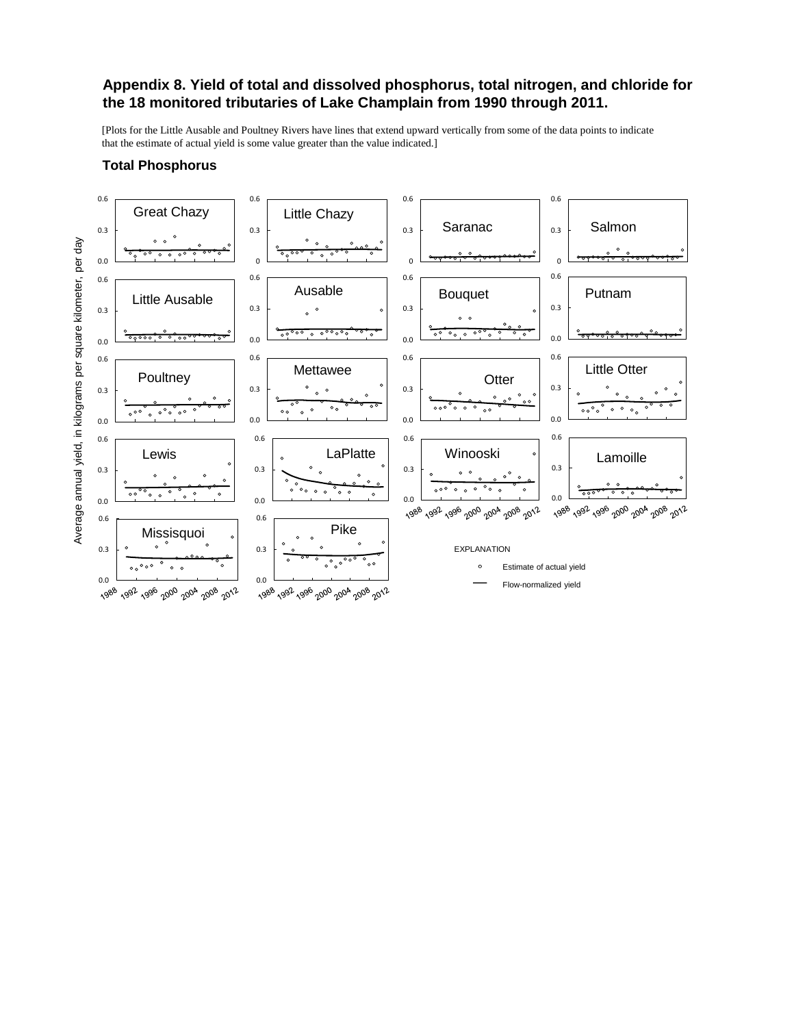#### **Total Phosphorus**

### **Appendix 8. Yield of total and dissolved phosphorus, total nitrogen, and chloride for the 18 monitored tributaries of Lake Champlain from 1990 through 2011.**

[Plots for the Little Ausable and Poultney Rivers have lines that extend upward vertically from some of the data points to indicate that the estimate of actual yield is some value greater than the value indicated.]

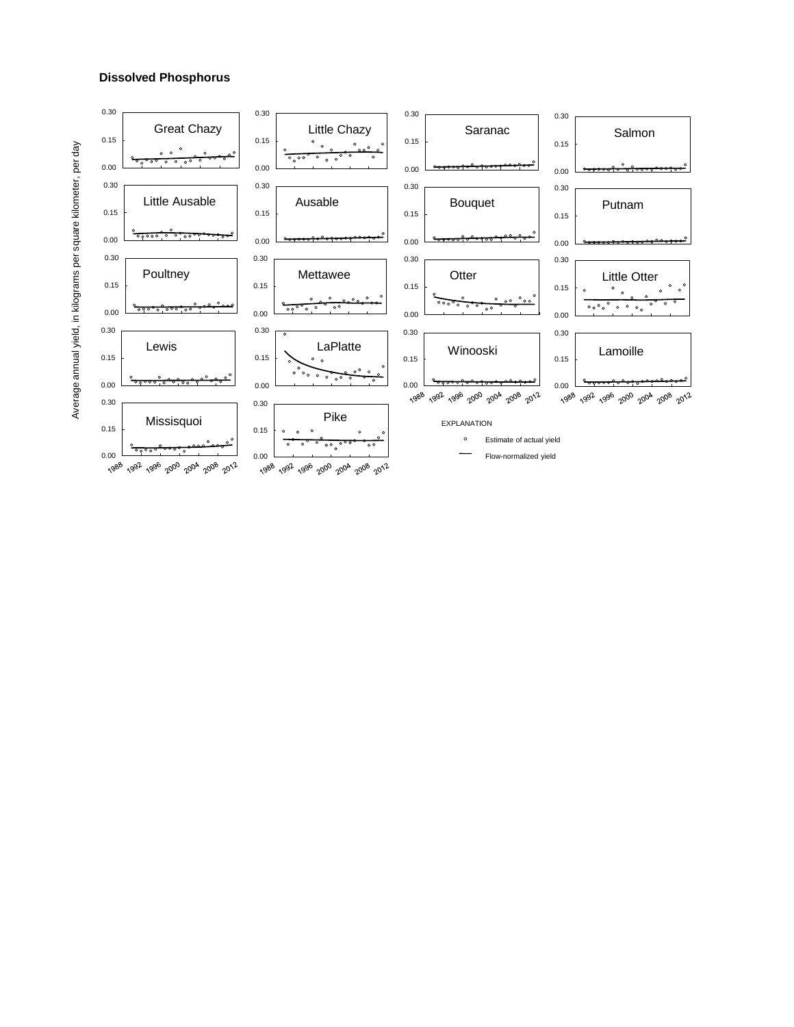#### **Dissolved Phosphorus**

Average annual yield, in kilograms per square kilometer, Average annual yield, in kilograms per square kilometer, per day

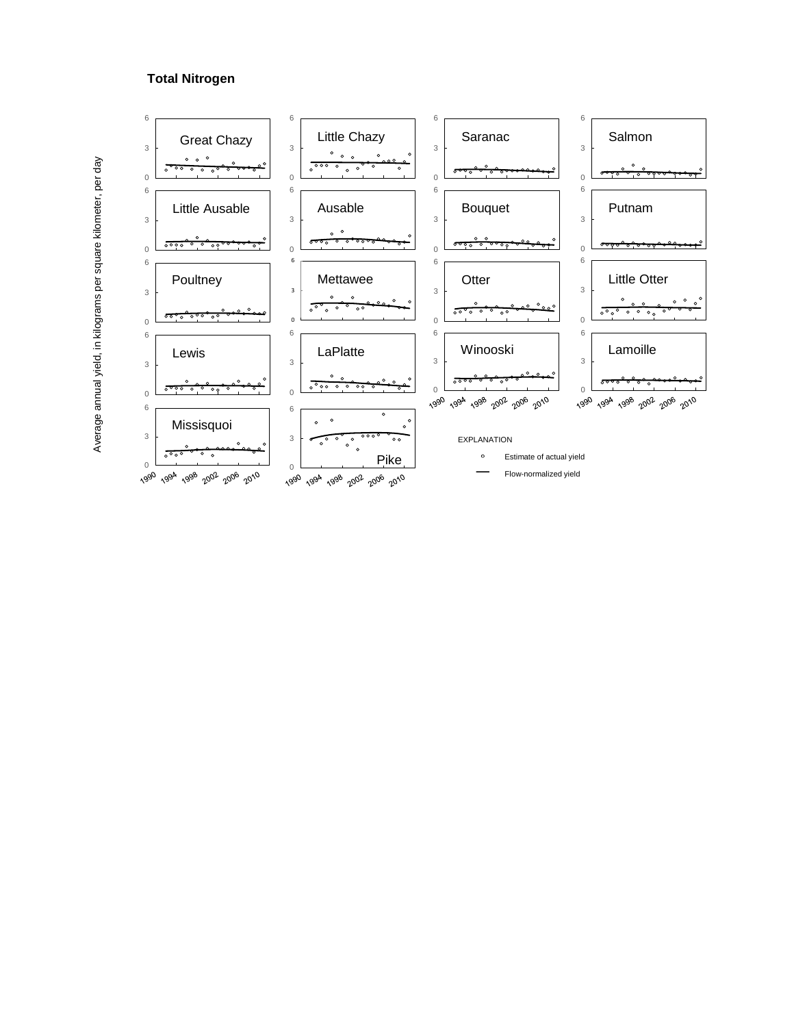# **Total Nitrogen**

Average annual yield, in kilograms per square kilometer, per day Average annual yield, in kilograms per square kilometer, per day